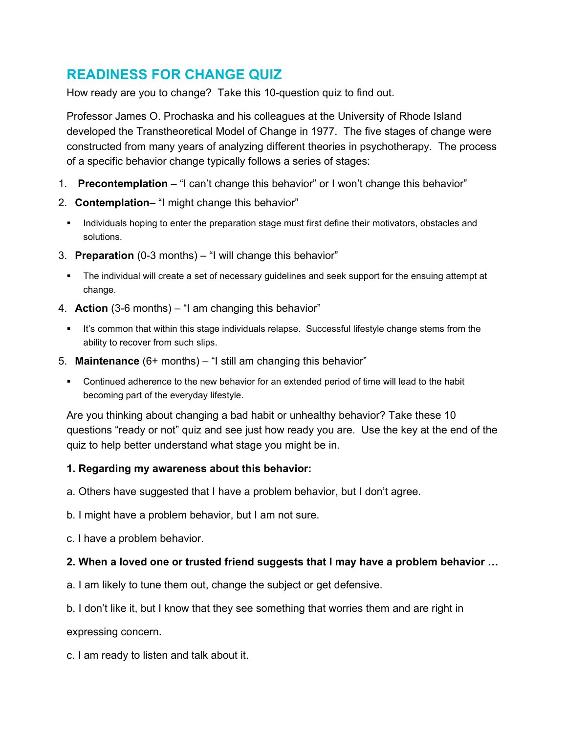# **READINESS FOR CHANGE QUIZ**

How ready are you to change? Take this 10-question quiz to find out.

Professor James O. Prochaska and his colleagues at the University of Rhode Island developed the Transtheoretical Model of Change in 1977. The five stages of change were constructed from many years of analyzing different theories in psychotherapy. The process of a specific behavior change typically follows a series of stages:

- 1. **Precontemplation** "I can't change this behavior" or I won't change this behavior"
- 2. **Contemplation** "I might change this behavior"
	- Individuals hoping to enter the preparation stage must first define their motivators, obstacles and solutions.
- 3. **Preparation** (0-3 months) "I will change this behavior"
	- The individual will create a set of necessary guidelines and seek support for the ensuing attempt at change.
- 4. **Action** (3-6 months) "I am changing this behavior"
	- **It's common that within this stage individuals relapse. Successful lifestyle change stems from the** ability to recover from such slips.
- 5. **Maintenance** (6+ months) "I still am changing this behavior"
	- Continued adherence to the new behavior for an extended period of time will lead to the habit becoming part of the everyday lifestyle.

Are you thinking about changing a bad habit or unhealthy behavior? Take these 10 questions "ready or not" quiz and see just how ready you are. Use the key at the end of the quiz to help better understand what stage you might be in.

## **1. Regarding my awareness about this behavior:**

- a. Others have suggested that I have a problem behavior, but I don't agree.
- b. I might have a problem behavior, but I am not sure.
- c. I have a problem behavior.

## **2. When a loved one or trusted friend suggests that I may have a problem behavior …**

- a. I am likely to tune them out, change the subject or get defensive.
- b. I don't like it, but I know that they see something that worries them and are right in

expressing concern.

c. I am ready to listen and talk about it.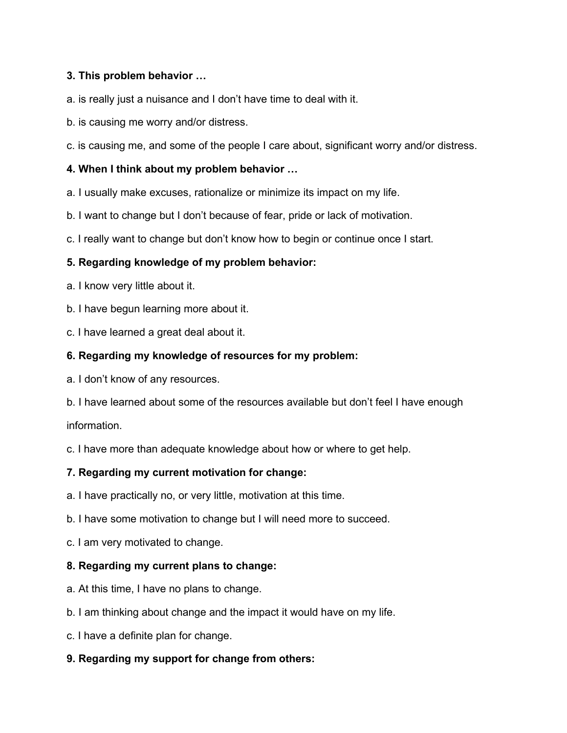## **3. This problem behavior …**

a. is really just a nuisance and I don't have time to deal with it.

b. is causing me worry and/or distress.

c. is causing me, and some of the people I care about, significant worry and/or distress.

### **4. When I think about my problem behavior …**

a. I usually make excuses, rationalize or minimize its impact on my life.

b. I want to change but I don't because of fear, pride or lack of motivation.

c. I really want to change but don't know how to begin or continue once I start.

#### **5. Regarding knowledge of my problem behavior:**

- a. I know very little about it.
- b. I have begun learning more about it.
- c. I have learned a great deal about it.

#### **6. Regarding my knowledge of resources for my problem:**

- a. I don't know of any resources.
- b. I have learned about some of the resources available but don't feel I have enough information.

c. I have more than adequate knowledge about how or where to get help.

## **7. Regarding my current motivation for change:**

- a. I have practically no, or very little, motivation at this time.
- b. I have some motivation to change but I will need more to succeed.
- c. I am very motivated to change.

#### **8. Regarding my current plans to change:**

- a. At this time, I have no plans to change.
- b. I am thinking about change and the impact it would have on my life.
- c. I have a definite plan for change.
- **9. Regarding my support for change from others:**